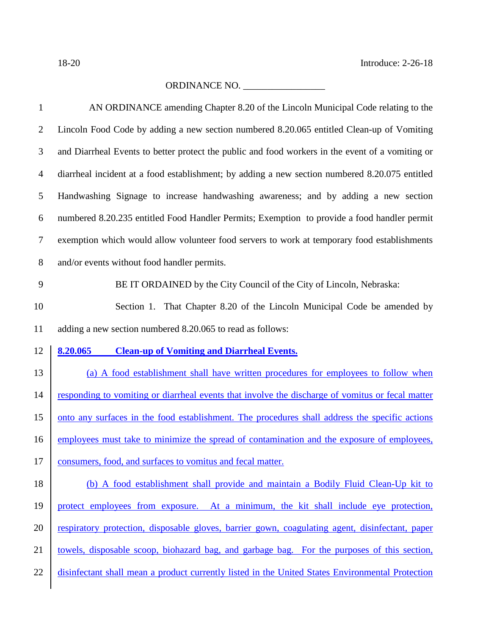## ORDINANCE NO. \_\_\_\_\_\_\_\_\_\_\_\_\_\_\_\_\_

| $\mathbf{1}$   | AN ORDINANCE amending Chapter 8.20 of the Lincoln Municipal Code relating to the                 |
|----------------|--------------------------------------------------------------------------------------------------|
| $\overline{2}$ | Lincoln Food Code by adding a new section numbered 8.20.065 entitled Clean-up of Vomiting        |
| 3              | and Diarrheal Events to better protect the public and food workers in the event of a vomiting or |
| $\overline{4}$ | diarrheal incident at a food establishment; by adding a new section numbered 8.20.075 entitled   |
| 5              | Handwashing Signage to increase handwashing awareness; and by adding a new section               |
| 6              | numbered 8.20.235 entitled Food Handler Permits; Exemption to provide a food handler permit      |
| $\tau$         | exemption which would allow volunteer food servers to work at temporary food establishments      |
| 8              | and/or events without food handler permits.                                                      |
| 9              | BE IT ORDAINED by the City Council of the City of Lincoln, Nebraska:                             |
| 10             | Section 1. That Chapter 8.20 of the Lincoln Municipal Code be amended by                         |
| 11             | adding a new section numbered 8.20.065 to read as follows:                                       |
|                |                                                                                                  |
| 12             | 8.20.065<br><b>Clean-up of Vomiting and Diarrheal Events.</b>                                    |
| 13             | (a) A food establishment shall have written procedures for employees to follow when              |
| 14             | responding to vomiting or diarrheal events that involve the discharge of vomitus or fecal matter |
| 15             | onto any surfaces in the food establishment. The procedures shall address the specific actions   |
| 16             | employees must take to minimize the spread of contamination and the exposure of employees,       |
| 17             | consumers, food, and surfaces to vomitus and fecal matter.                                       |
| 18             | (b) A food establishment shall provide and maintain a Bodily Fluid Clean-Up kit to               |
| 19             | protect employees from exposure. At a minimum, the kit shall include eye protection,             |
| 20             | respiratory protection, disposable gloves, barrier gown, coagulating agent, disinfectant, paper  |
| 21             | towels, disposable scoop, biohazard bag, and garbage bag. For the purposes of this section,      |
| 22             | disinfectant shall mean a product currently listed in the United States Environmental Protection |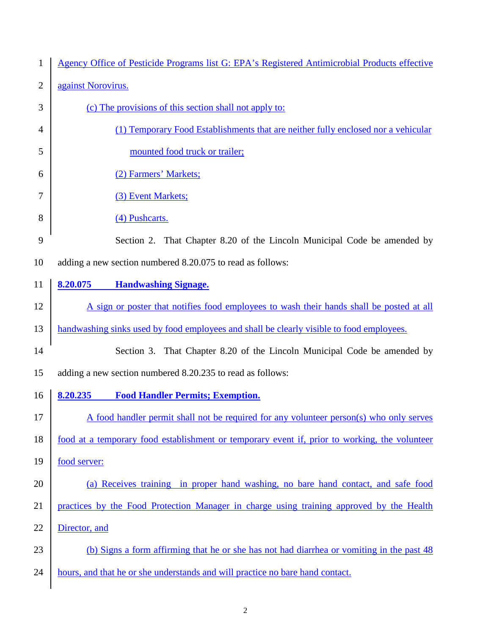| $\mathbf{1}$   | Agency Office of Pesticide Programs list G: EPA's Registered Antimicrobial Products effective |
|----------------|-----------------------------------------------------------------------------------------------|
| $\overline{2}$ | against Norovirus.                                                                            |
| 3              | (c) The provisions of this section shall not apply to:                                        |
| 4              | (1) Temporary Food Establishments that are neither fully enclosed nor a vehicular             |
| 5              | mounted food truck or trailer;                                                                |
| 6              | (2) Farmers' Markets;                                                                         |
| 7              | (3) Event Markets;                                                                            |
| 8              | (4) Pushcarts.                                                                                |
| 9              | Section 2. That Chapter 8.20 of the Lincoln Municipal Code be amended by                      |
| 10             | adding a new section numbered 8.20.075 to read as follows:                                    |
| 11             | <b>Handwashing Signage.</b><br>8.20.075                                                       |
| 12             | A sign or poster that notifies food employees to wash their hands shall be posted at all      |
| 13             | handwashing sinks used by food employees and shall be clearly visible to food employees.      |
| 14             | Section 3. That Chapter 8.20 of the Lincoln Municipal Code be amended by                      |
| 15             | adding a new section numbered 8.20.235 to read as follows:                                    |
| 16             | 8.20.235<br><b>Food Handler Permits; Exemption.</b>                                           |
| 17             | A food handler permit shall not be required for any volunteer person(s) who only serves       |
| 18             | food at a temporary food establishment or temporary event if, prior to working, the volunteer |
| 19             | food server:                                                                                  |
| 20             | (a) Receives training in proper hand washing, no bare hand contact, and safe food             |
| 21             | practices by the Food Protection Manager in charge using training approved by the Health      |
| 22             | Director, and                                                                                 |
| 23             | (b) Signs a form affirming that he or she has not had diarrhea or vomiting in the past 48     |
| 24             | hours, and that he or she understands and will practice no bare hand contact.                 |